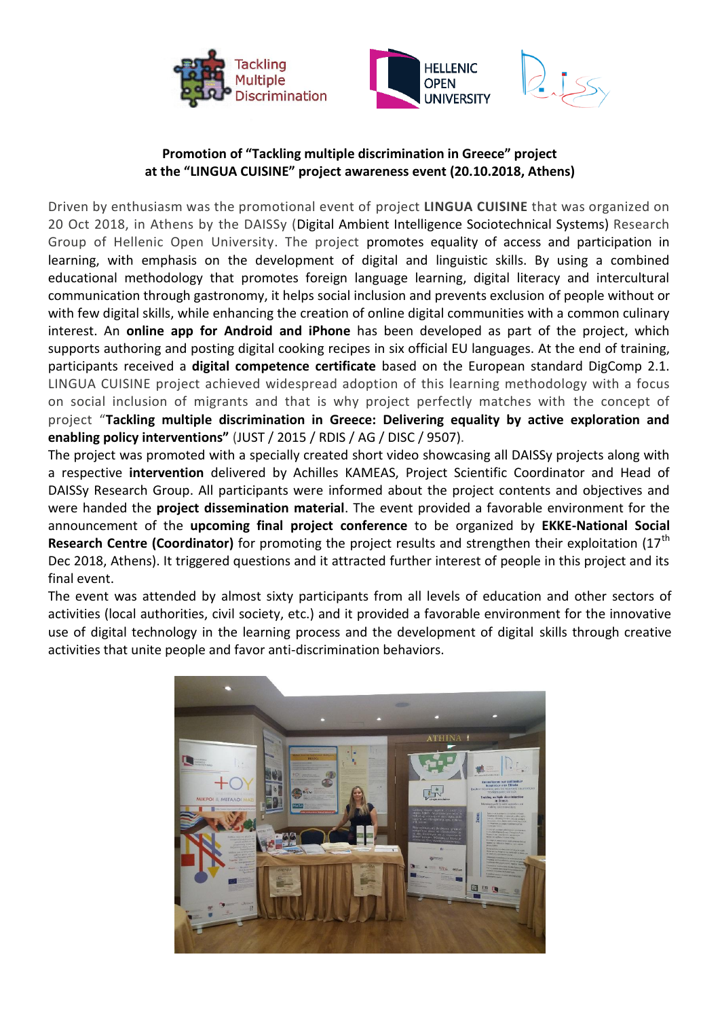





## **Promotion of "Tackling multiple discrimination in Greece" project at the "LINGUA CUISINE" project awareness event (20.10.2018, Athens)**

Driven by enthusiasm was the promotional event of project **LINGUA CUISINE** that was organized on 20 Oct 2018, in Athens by the DAISSy (Digital Ambient Intelligence Sociotechnical Systems) Research Group of Hellenic Open University. The project promotes equality of access and participation in learning, with emphasis on the development of digital and linguistic skills. By using a combined educational methodology that promotes foreign language learning, digital literacy and intercultural communication through gastronomy, it helps social inclusion and prevents exclusion of people without or with few digital skills, while enhancing the creation of online digital communities with a common culinary interest. An **online app for Android and iPhone** has been developed as part of the project, which supports authoring and posting digital cooking recipes in six official EU languages. At the end of training, participants received a **digital competence certificate** based on the European standard DigComp 2.1. LINGUA CUISINE project achieved widespread adoption of this learning methodology with a focus on social inclusion of migrants and that is why project perfectly matches with the concept of project "**Tackling multiple discrimination in Greece: Delivering equality by active exploration and enabling policy interventions"** (JUST / 2015 / RDIS / AG / DISC / 9507).

The project was promoted with a specially created short video showcasing all DAISSy projects along with a respective **intervention** delivered by Achilles KAMEAS, Project Scientific Coordinator and Head of DAISSy Research Group. All participants were informed about the project contents and objectives and were handed the **project dissemination material**. The event provided a favorable environment for the announcement of the **upcoming final project conference** to be organized by **EKKE-National Social**  Research Centre (Coordinator) for promoting the project results and strengthen their exploitation (17<sup>th</sup> Dec 2018, Athens). It triggered questions and it attracted further interest of people in this project and its final event.

The event was attended by almost sixty participants from all levels of education and other sectors of activities (local authorities, civil society, etc.) and it provided a favorable environment for the innovative use of digital technology in the learning process and the development of digital skills through creative activities that unite people and favor anti-discrimination behaviors.